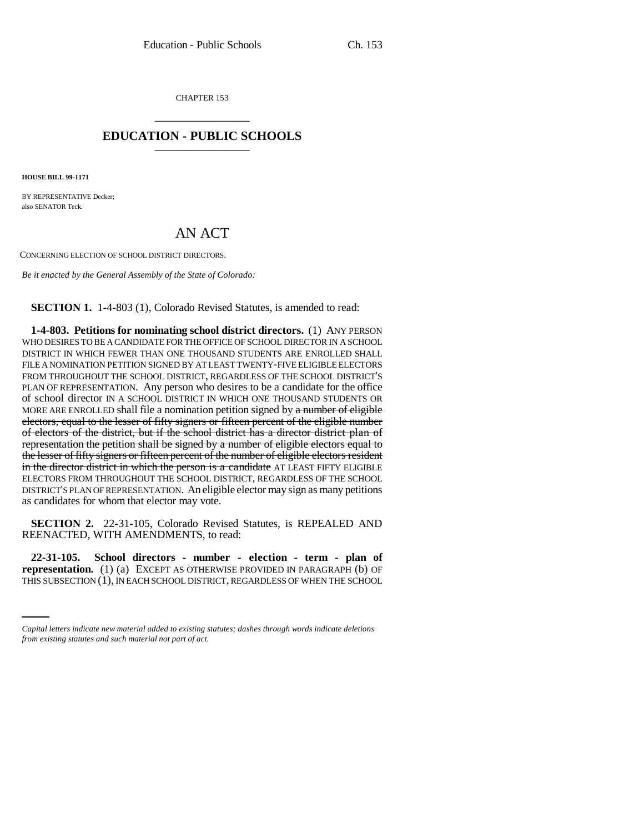CHAPTER 153 \_\_\_\_\_\_\_\_\_\_\_\_\_\_\_

## **EDUCATION - PUBLIC SCHOOLS** \_\_\_\_\_\_\_\_\_\_\_\_\_\_\_

**HOUSE BILL 99-1171**

BY REPRESENTATIVE Decker: also SENATOR Teck.

# AN ACT

CONCERNING ELECTION OF SCHOOL DISTRICT DIRECTORS.

*Be it enacted by the General Assembly of the State of Colorado:*

#### **SECTION 1.** 1-4-803 (1), Colorado Revised Statutes, is amended to read:

**1-4-803. Petitions for nominating school district directors.** (1) ANY PERSON WHO DESIRES TO BE A CANDIDATE FOR THE OFFICE OF SCHOOL DIRECTOR IN A SCHOOL DISTRICT IN WHICH FEWER THAN ONE THOUSAND STUDENTS ARE ENROLLED SHALL FILE A NOMINATION PETITION SIGNED BY AT LEAST TWENTY-FIVE ELIGIBLE ELECTORS FROM THROUGHOUT THE SCHOOL DISTRICT, REGARDLESS OF THE SCHOOL DISTRICT'S PLAN OF REPRESENTATION. Any person who desires to be a candidate for the office of school director IN A SCHOOL DISTRICT IN WHICH ONE THOUSAND STUDENTS OR MORE ARE ENROLLED shall file a nomination petition signed by  $a$  number of eligible electors, equal to the lesser of fifty signers or fifteen percent of the eligible number of electors of the district, but if the school district has a director district plan of representation the petition shall be signed by a number of eligible electors equal to the lesser of fifty signers or fifteen percent of the number of eligible electors resident in the director district in which the person is a candidate AT LEAST FIFTY ELIGIBLE ELECTORS FROM THROUGHOUT THE SCHOOL DISTRICT, REGARDLESS OF THE SCHOOL DISTRICT'S PLAN OF REPRESENTATION. An eligible elector may sign as many petitions as candidates for whom that elector may vote.

**SECTION 2.** 22-31-105, Colorado Revised Statutes, is REPEALED AND REENACTED, WITH AMENDMENTS, to read:

*representation.* (1) (a) EXCEPT AS OTHERWISE PROVIDED IN PARAGRAPH (b) OF **22-31-105. School directors - number - election - term - plan of** THIS SUBSECTION (1), IN EACH SCHOOL DISTRICT, REGARDLESS OF WHEN THE SCHOOL

*Capital letters indicate new material added to existing statutes; dashes through words indicate deletions from existing statutes and such material not part of act.*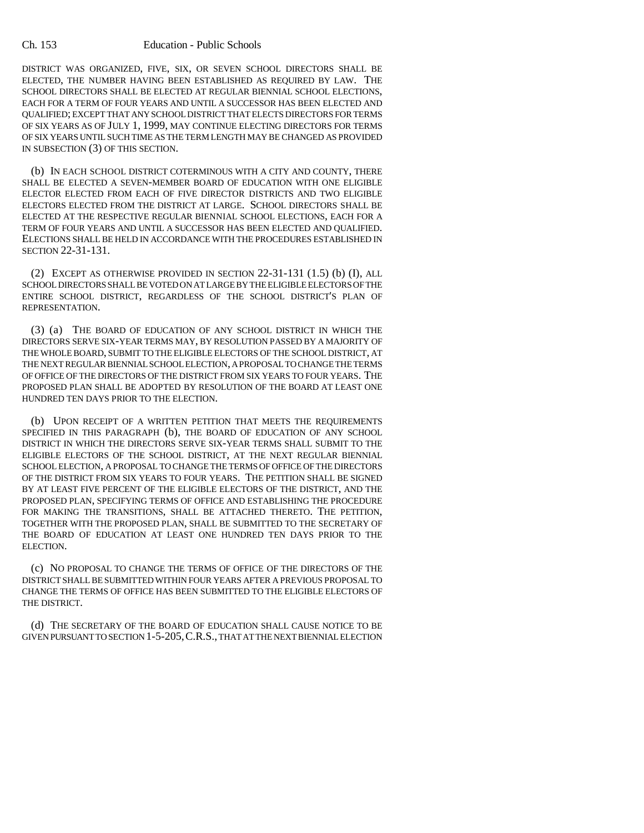#### Ch. 153 Education - Public Schools

DISTRICT WAS ORGANIZED, FIVE, SIX, OR SEVEN SCHOOL DIRECTORS SHALL BE ELECTED, THE NUMBER HAVING BEEN ESTABLISHED AS REQUIRED BY LAW. THE SCHOOL DIRECTORS SHALL BE ELECTED AT REGULAR BIENNIAL SCHOOL ELECTIONS, EACH FOR A TERM OF FOUR YEARS AND UNTIL A SUCCESSOR HAS BEEN ELECTED AND QUALIFIED; EXCEPT THAT ANY SCHOOL DISTRICT THAT ELECTS DIRECTORS FOR TERMS OF SIX YEARS AS OF JULY 1, 1999, MAY CONTINUE ELECTING DIRECTORS FOR TERMS OF SIX YEARS UNTIL SUCH TIME AS THE TERM LENGTH MAY BE CHANGED AS PROVIDED IN SUBSECTION (3) OF THIS SECTION.

(b) IN EACH SCHOOL DISTRICT COTERMINOUS WITH A CITY AND COUNTY, THERE SHALL BE ELECTED A SEVEN-MEMBER BOARD OF EDUCATION WITH ONE ELIGIBLE ELECTOR ELECTED FROM EACH OF FIVE DIRECTOR DISTRICTS AND TWO ELIGIBLE ELECTORS ELECTED FROM THE DISTRICT AT LARGE. SCHOOL DIRECTORS SHALL BE ELECTED AT THE RESPECTIVE REGULAR BIENNIAL SCHOOL ELECTIONS, EACH FOR A TERM OF FOUR YEARS AND UNTIL A SUCCESSOR HAS BEEN ELECTED AND QUALIFIED. ELECTIONS SHALL BE HELD IN ACCORDANCE WITH THE PROCEDURES ESTABLISHED IN SECTION 22-31-131.

(2) EXCEPT AS OTHERWISE PROVIDED IN SECTION 22-31-131 (1.5) (b) (I), ALL SCHOOL DIRECTORS SHALL BE VOTED ON AT LARGE BY THE ELIGIBLE ELECTORS OF THE ENTIRE SCHOOL DISTRICT, REGARDLESS OF THE SCHOOL DISTRICT'S PLAN OF REPRESENTATION.

(3) (a) THE BOARD OF EDUCATION OF ANY SCHOOL DISTRICT IN WHICH THE DIRECTORS SERVE SIX-YEAR TERMS MAY, BY RESOLUTION PASSED BY A MAJORITY OF THE WHOLE BOARD, SUBMIT TO THE ELIGIBLE ELECTORS OF THE SCHOOL DISTRICT, AT THE NEXT REGULAR BIENNIAL SCHOOL ELECTION, A PROPOSAL TO CHANGE THE TERMS OF OFFICE OF THE DIRECTORS OF THE DISTRICT FROM SIX YEARS TO FOUR YEARS. THE PROPOSED PLAN SHALL BE ADOPTED BY RESOLUTION OF THE BOARD AT LEAST ONE HUNDRED TEN DAYS PRIOR TO THE ELECTION.

(b) UPON RECEIPT OF A WRITTEN PETITION THAT MEETS THE REQUIREMENTS SPECIFIED IN THIS PARAGRAPH (b), THE BOARD OF EDUCATION OF ANY SCHOOL DISTRICT IN WHICH THE DIRECTORS SERVE SIX-YEAR TERMS SHALL SUBMIT TO THE ELIGIBLE ELECTORS OF THE SCHOOL DISTRICT, AT THE NEXT REGULAR BIENNIAL SCHOOL ELECTION, A PROPOSAL TO CHANGE THE TERMS OF OFFICE OF THE DIRECTORS OF THE DISTRICT FROM SIX YEARS TO FOUR YEARS. THE PETITION SHALL BE SIGNED BY AT LEAST FIVE PERCENT OF THE ELIGIBLE ELECTORS OF THE DISTRICT, AND THE PROPOSED PLAN, SPECIFYING TERMS OF OFFICE AND ESTABLISHING THE PROCEDURE FOR MAKING THE TRANSITIONS, SHALL BE ATTACHED THERETO. THE PETITION, TOGETHER WITH THE PROPOSED PLAN, SHALL BE SUBMITTED TO THE SECRETARY OF THE BOARD OF EDUCATION AT LEAST ONE HUNDRED TEN DAYS PRIOR TO THE ELECTION.

(c) NO PROPOSAL TO CHANGE THE TERMS OF OFFICE OF THE DIRECTORS OF THE DISTRICT SHALL BE SUBMITTED WITHIN FOUR YEARS AFTER A PREVIOUS PROPOSAL TO CHANGE THE TERMS OF OFFICE HAS BEEN SUBMITTED TO THE ELIGIBLE ELECTORS OF THE DISTRICT.

(d) THE SECRETARY OF THE BOARD OF EDUCATION SHALL CAUSE NOTICE TO BE GIVEN PURSUANT TO SECTION 1-5-205,C.R.S., THAT AT THE NEXT BIENNIAL ELECTION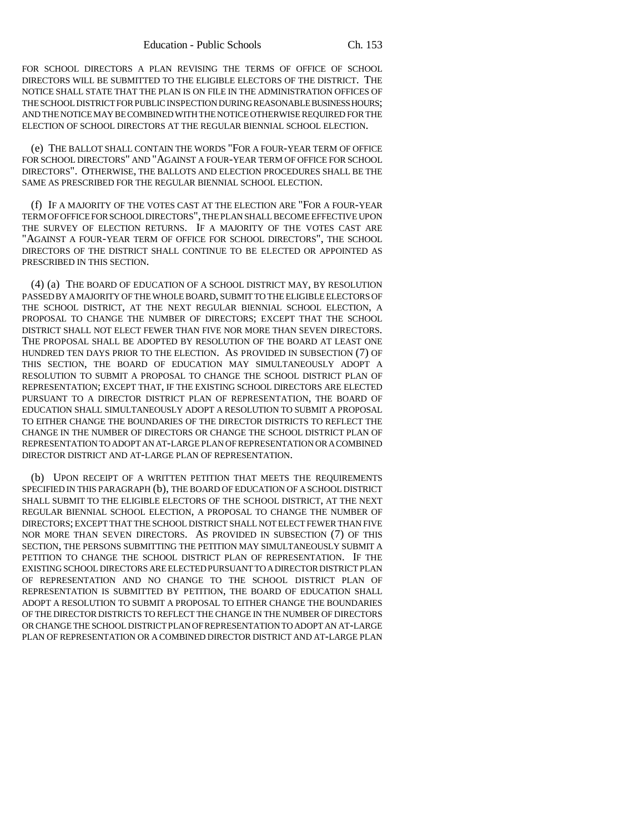FOR SCHOOL DIRECTORS A PLAN REVISING THE TERMS OF OFFICE OF SCHOOL DIRECTORS WILL BE SUBMITTED TO THE ELIGIBLE ELECTORS OF THE DISTRICT. THE NOTICE SHALL STATE THAT THE PLAN IS ON FILE IN THE ADMINISTRATION OFFICES OF THE SCHOOL DISTRICT FOR PUBLIC INSPECTION DURING REASONABLE BUSINESS HOURS; AND THE NOTICE MAY BE COMBINED WITH THE NOTICE OTHERWISE REQUIRED FOR THE ELECTION OF SCHOOL DIRECTORS AT THE REGULAR BIENNIAL SCHOOL ELECTION.

(e) THE BALLOT SHALL CONTAIN THE WORDS "FOR A FOUR-YEAR TERM OF OFFICE FOR SCHOOL DIRECTORS" AND "AGAINST A FOUR-YEAR TERM OF OFFICE FOR SCHOOL DIRECTORS". OTHERWISE, THE BALLOTS AND ELECTION PROCEDURES SHALL BE THE SAME AS PRESCRIBED FOR THE REGULAR BIENNIAL SCHOOL ELECTION.

(f) IF A MAJORITY OF THE VOTES CAST AT THE ELECTION ARE "FOR A FOUR-YEAR TERM OF OFFICE FOR SCHOOL DIRECTORS", THE PLAN SHALL BECOME EFFECTIVE UPON THE SURVEY OF ELECTION RETURNS. IF A MAJORITY OF THE VOTES CAST ARE "AGAINST A FOUR-YEAR TERM OF OFFICE FOR SCHOOL DIRECTORS", THE SCHOOL DIRECTORS OF THE DISTRICT SHALL CONTINUE TO BE ELECTED OR APPOINTED AS PRESCRIBED IN THIS SECTION.

(4) (a) THE BOARD OF EDUCATION OF A SCHOOL DISTRICT MAY, BY RESOLUTION PASSED BY A MAJORITY OF THE WHOLE BOARD, SUBMIT TO THE ELIGIBLE ELECTORS OF THE SCHOOL DISTRICT, AT THE NEXT REGULAR BIENNIAL SCHOOL ELECTION, A PROPOSAL TO CHANGE THE NUMBER OF DIRECTORS; EXCEPT THAT THE SCHOOL DISTRICT SHALL NOT ELECT FEWER THAN FIVE NOR MORE THAN SEVEN DIRECTORS. THE PROPOSAL SHALL BE ADOPTED BY RESOLUTION OF THE BOARD AT LEAST ONE HUNDRED TEN DAYS PRIOR TO THE ELECTION. AS PROVIDED IN SUBSECTION (7) OF THIS SECTION, THE BOARD OF EDUCATION MAY SIMULTANEOUSLY ADOPT A RESOLUTION TO SUBMIT A PROPOSAL TO CHANGE THE SCHOOL DISTRICT PLAN OF REPRESENTATION; EXCEPT THAT, IF THE EXISTING SCHOOL DIRECTORS ARE ELECTED PURSUANT TO A DIRECTOR DISTRICT PLAN OF REPRESENTATION, THE BOARD OF EDUCATION SHALL SIMULTANEOUSLY ADOPT A RESOLUTION TO SUBMIT A PROPOSAL TO EITHER CHANGE THE BOUNDARIES OF THE DIRECTOR DISTRICTS TO REFLECT THE CHANGE IN THE NUMBER OF DIRECTORS OR CHANGE THE SCHOOL DISTRICT PLAN OF REPRESENTATION TO ADOPT AN AT-LARGE PLAN OF REPRESENTATION OR A COMBINED DIRECTOR DISTRICT AND AT-LARGE PLAN OF REPRESENTATION.

(b) UPON RECEIPT OF A WRITTEN PETITION THAT MEETS THE REQUIREMENTS SPECIFIED IN THIS PARAGRAPH (b), THE BOARD OF EDUCATION OF A SCHOOL DISTRICT SHALL SUBMIT TO THE ELIGIBLE ELECTORS OF THE SCHOOL DISTRICT, AT THE NEXT REGULAR BIENNIAL SCHOOL ELECTION, A PROPOSAL TO CHANGE THE NUMBER OF DIRECTORS; EXCEPT THAT THE SCHOOL DISTRICT SHALL NOT ELECT FEWER THAN FIVE NOR MORE THAN SEVEN DIRECTORS. AS PROVIDED IN SUBSECTION (7) OF THIS SECTION, THE PERSONS SUBMITTING THE PETITION MAY SIMULTANEOUSLY SUBMIT A PETITION TO CHANGE THE SCHOOL DISTRICT PLAN OF REPRESENTATION. IF THE EXISTING SCHOOL DIRECTORS ARE ELECTED PURSUANT TO A DIRECTOR DISTRICT PLAN OF REPRESENTATION AND NO CHANGE TO THE SCHOOL DISTRICT PLAN OF REPRESENTATION IS SUBMITTED BY PETITION, THE BOARD OF EDUCATION SHALL ADOPT A RESOLUTION TO SUBMIT A PROPOSAL TO EITHER CHANGE THE BOUNDARIES OF THE DIRECTOR DISTRICTS TO REFLECT THE CHANGE IN THE NUMBER OF DIRECTORS OR CHANGE THE SCHOOL DISTRICT PLAN OF REPRESENTATION TO ADOPT AN AT-LARGE PLAN OF REPRESENTATION OR A COMBINED DIRECTOR DISTRICT AND AT-LARGE PLAN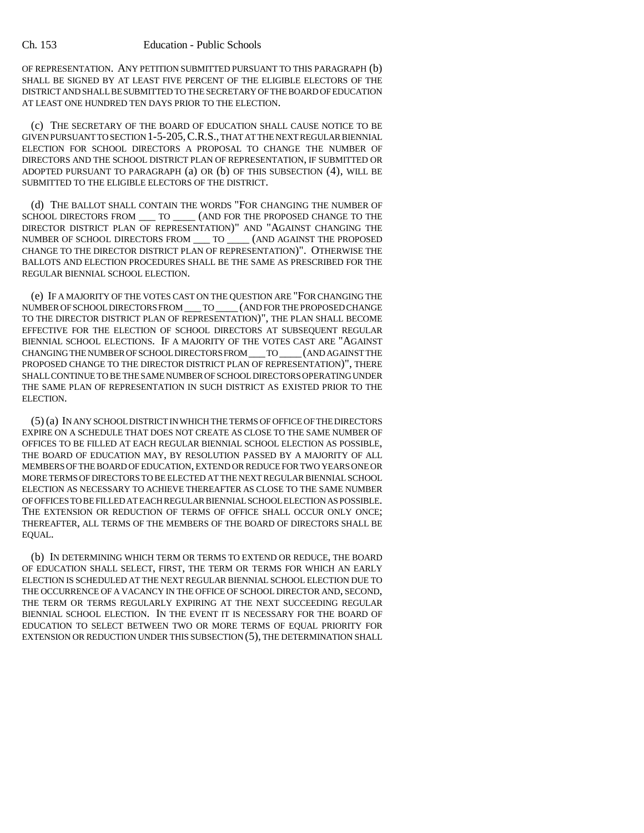OF REPRESENTATION. ANY PETITION SUBMITTED PURSUANT TO THIS PARAGRAPH (b) SHALL BE SIGNED BY AT LEAST FIVE PERCENT OF THE ELIGIBLE ELECTORS OF THE DISTRICT AND SHALL BE SUBMITTED TO THE SECRETARY OF THE BOARD OF EDUCATION AT LEAST ONE HUNDRED TEN DAYS PRIOR TO THE ELECTION.

(c) THE SECRETARY OF THE BOARD OF EDUCATION SHALL CAUSE NOTICE TO BE GIVEN PURSUANT TO SECTION 1-5-205,C.R.S., THAT AT THE NEXT REGULAR BIENNIAL ELECTION FOR SCHOOL DIRECTORS A PROPOSAL TO CHANGE THE NUMBER OF DIRECTORS AND THE SCHOOL DISTRICT PLAN OF REPRESENTATION, IF SUBMITTED OR ADOPTED PURSUANT TO PARAGRAPH (a) OR (b) OF THIS SUBSECTION (4), WILL BE SUBMITTED TO THE ELIGIBLE ELECTORS OF THE DISTRICT.

(d) THE BALLOT SHALL CONTAIN THE WORDS "FOR CHANGING THE NUMBER OF SCHOOL DIRECTORS FROM \_\_\_ TO \_\_\_\_ (AND FOR THE PROPOSED CHANGE TO THE DIRECTOR DISTRICT PLAN OF REPRESENTATION)" AND "AGAINST CHANGING THE NUMBER OF SCHOOL DIRECTORS  $\text{FROM}$  —  $\text{TO}$ NUMBER OF SCHOOL DIRECTORS FROM  $\_\_$  TO  $\_\,$ CHANGE TO THE DIRECTOR DISTRICT PLAN OF REPRESENTATION)". OTHERWISE THE BALLOTS AND ELECTION PROCEDURES SHALL BE THE SAME AS PRESCRIBED FOR THE REGULAR BIENNIAL SCHOOL ELECTION.

(e) IF A MAJORITY OF THE VOTES CAST ON THE QUESTION ARE "FOR CHANGING THE NUMBER OF SCHOOL DIRECTORS FROM \_\_\_ TO \_\_\_\_ (AND FOR THE PROPOSED CHANGE TO THE DIRECTOR DISTRICT PLAN OF REPRESENTATION)", THE PLAN SHALL BECOME EFFECTIVE FOR THE ELECTION OF SCHOOL DIRECTORS AT SUBSEQUENT REGULAR BIENNIAL SCHOOL ELECTIONS. IF A MAJORITY OF THE VOTES CAST ARE "AGAINST CHANGING THE NUMBER OF SCHOOL DIRECTORS FROM \_\_\_ TO \_\_\_\_(AND AGAINST THE PROPOSED CHANGE TO THE DIRECTOR DISTRICT PLAN OF REPRESENTATION)", THERE SHALL CONTINUE TO BE THE SAME NUMBER OF SCHOOL DIRECTORS OPERATING UNDER THE SAME PLAN OF REPRESENTATION IN SUCH DISTRICT AS EXISTED PRIOR TO THE ELECTION.

(5) (a) IN ANY SCHOOL DISTRICT IN WHICH THE TERMS OF OFFICE OF THE DIRECTORS EXPIRE ON A SCHEDULE THAT DOES NOT CREATE AS CLOSE TO THE SAME NUMBER OF OFFICES TO BE FILLED AT EACH REGULAR BIENNIAL SCHOOL ELECTION AS POSSIBLE, THE BOARD OF EDUCATION MAY, BY RESOLUTION PASSED BY A MAJORITY OF ALL MEMBERS OF THE BOARD OF EDUCATION, EXTEND OR REDUCE FOR TWO YEARS ONE OR MORE TERMS OF DIRECTORS TO BE ELECTED AT THE NEXT REGULAR BIENNIAL SCHOOL ELECTION AS NECESSARY TO ACHIEVE THEREAFTER AS CLOSE TO THE SAME NUMBER OF OFFICES TO BE FILLED AT EACH REGULAR BIENNIAL SCHOOL ELECTION AS POSSIBLE. THE EXTENSION OR REDUCTION OF TERMS OF OFFICE SHALL OCCUR ONLY ONCE; THEREAFTER, ALL TERMS OF THE MEMBERS OF THE BOARD OF DIRECTORS SHALL BE EQUAL.

(b) IN DETERMINING WHICH TERM OR TERMS TO EXTEND OR REDUCE, THE BOARD OF EDUCATION SHALL SELECT, FIRST, THE TERM OR TERMS FOR WHICH AN EARLY ELECTION IS SCHEDULED AT THE NEXT REGULAR BIENNIAL SCHOOL ELECTION DUE TO THE OCCURRENCE OF A VACANCY IN THE OFFICE OF SCHOOL DIRECTOR AND, SECOND, THE TERM OR TERMS REGULARLY EXPIRING AT THE NEXT SUCCEEDING REGULAR BIENNIAL SCHOOL ELECTION. IN THE EVENT IT IS NECESSARY FOR THE BOARD OF EDUCATION TO SELECT BETWEEN TWO OR MORE TERMS OF EQUAL PRIORITY FOR EXTENSION OR REDUCTION UNDER THIS SUBSECTION (5), THE DETERMINATION SHALL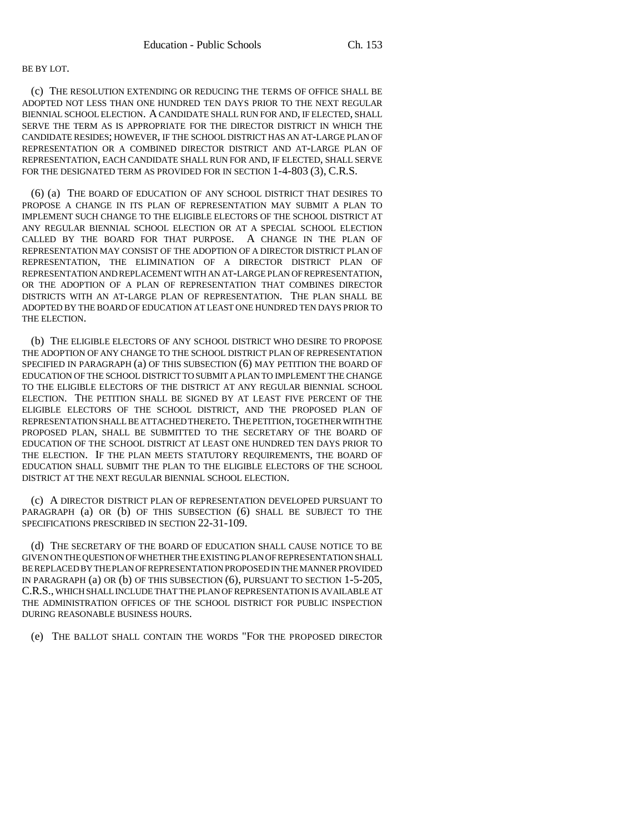### BE BY LOT.

(c) THE RESOLUTION EXTENDING OR REDUCING THE TERMS OF OFFICE SHALL BE ADOPTED NOT LESS THAN ONE HUNDRED TEN DAYS PRIOR TO THE NEXT REGULAR BIENNIAL SCHOOL ELECTION. A CANDIDATE SHALL RUN FOR AND, IF ELECTED, SHALL SERVE THE TERM AS IS APPROPRIATE FOR THE DIRECTOR DISTRICT IN WHICH THE CANDIDATE RESIDES; HOWEVER, IF THE SCHOOL DISTRICT HAS AN AT-LARGE PLAN OF REPRESENTATION OR A COMBINED DIRECTOR DISTRICT AND AT-LARGE PLAN OF REPRESENTATION, EACH CANDIDATE SHALL RUN FOR AND, IF ELECTED, SHALL SERVE FOR THE DESIGNATED TERM AS PROVIDED FOR IN SECTION 1-4-803 (3), C.R.S.

(6) (a) THE BOARD OF EDUCATION OF ANY SCHOOL DISTRICT THAT DESIRES TO PROPOSE A CHANGE IN ITS PLAN OF REPRESENTATION MAY SUBMIT A PLAN TO IMPLEMENT SUCH CHANGE TO THE ELIGIBLE ELECTORS OF THE SCHOOL DISTRICT AT ANY REGULAR BIENNIAL SCHOOL ELECTION OR AT A SPECIAL SCHOOL ELECTION CALLED BY THE BOARD FOR THAT PURPOSE. A CHANGE IN THE PLAN OF REPRESENTATION MAY CONSIST OF THE ADOPTION OF A DIRECTOR DISTRICT PLAN OF REPRESENTATION, THE ELIMINATION OF A DIRECTOR DISTRICT PLAN OF REPRESENTATION AND REPLACEMENT WITH AN AT-LARGE PLAN OF REPRESENTATION, OR THE ADOPTION OF A PLAN OF REPRESENTATION THAT COMBINES DIRECTOR DISTRICTS WITH AN AT-LARGE PLAN OF REPRESENTATION. THE PLAN SHALL BE ADOPTED BY THE BOARD OF EDUCATION AT LEAST ONE HUNDRED TEN DAYS PRIOR TO THE ELECTION.

(b) THE ELIGIBLE ELECTORS OF ANY SCHOOL DISTRICT WHO DESIRE TO PROPOSE THE ADOPTION OF ANY CHANGE TO THE SCHOOL DISTRICT PLAN OF REPRESENTATION SPECIFIED IN PARAGRAPH (a) OF THIS SUBSECTION (6) MAY PETITION THE BOARD OF EDUCATION OF THE SCHOOL DISTRICT TO SUBMIT A PLAN TO IMPLEMENT THE CHANGE TO THE ELIGIBLE ELECTORS OF THE DISTRICT AT ANY REGULAR BIENNIAL SCHOOL ELECTION. THE PETITION SHALL BE SIGNED BY AT LEAST FIVE PERCENT OF THE ELIGIBLE ELECTORS OF THE SCHOOL DISTRICT, AND THE PROPOSED PLAN OF REPRESENTATION SHALL BE ATTACHED THERETO. THE PETITION, TOGETHER WITH THE PROPOSED PLAN, SHALL BE SUBMITTED TO THE SECRETARY OF THE BOARD OF EDUCATION OF THE SCHOOL DISTRICT AT LEAST ONE HUNDRED TEN DAYS PRIOR TO THE ELECTION. IF THE PLAN MEETS STATUTORY REQUIREMENTS, THE BOARD OF EDUCATION SHALL SUBMIT THE PLAN TO THE ELIGIBLE ELECTORS OF THE SCHOOL DISTRICT AT THE NEXT REGULAR BIENNIAL SCHOOL ELECTION.

(c) A DIRECTOR DISTRICT PLAN OF REPRESENTATION DEVELOPED PURSUANT TO PARAGRAPH (a) OR (b) OF THIS SUBSECTION (6) SHALL BE SUBJECT TO THE SPECIFICATIONS PRESCRIBED IN SECTION 22-31-109.

(d) THE SECRETARY OF THE BOARD OF EDUCATION SHALL CAUSE NOTICE TO BE GIVEN ON THE QUESTION OF WHETHER THE EXISTING PLAN OF REPRESENTATION SHALL BE REPLACED BY THE PLAN OF REPRESENTATION PROPOSED IN THE MANNER PROVIDED IN PARAGRAPH (a) OR (b) OF THIS SUBSECTION (6), PURSUANT TO SECTION 1-5-205, C.R.S., WHICH SHALL INCLUDE THAT THE PLAN OF REPRESENTATION IS AVAILABLE AT THE ADMINISTRATION OFFICES OF THE SCHOOL DISTRICT FOR PUBLIC INSPECTION DURING REASONABLE BUSINESS HOURS.

(e) THE BALLOT SHALL CONTAIN THE WORDS "FOR THE PROPOSED DIRECTOR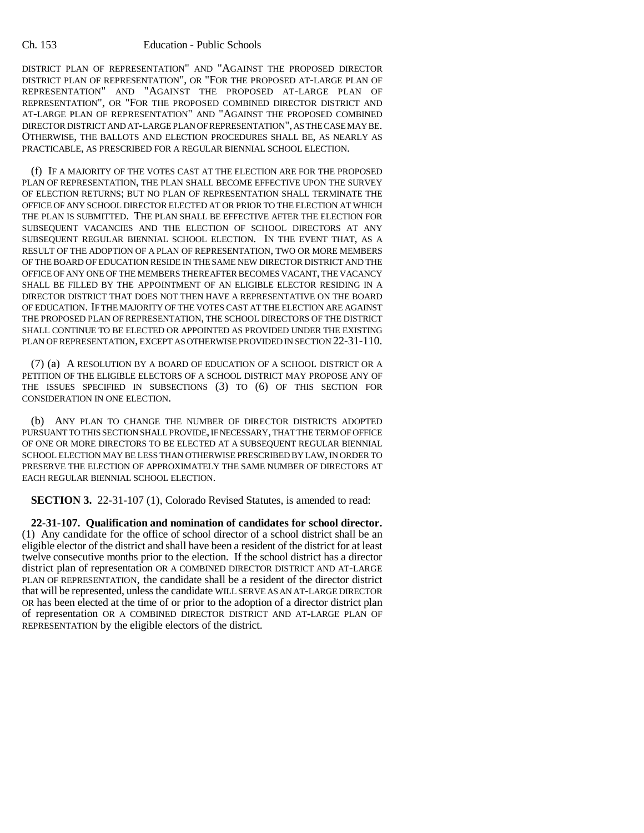DISTRICT PLAN OF REPRESENTATION" AND "AGAINST THE PROPOSED DIRECTOR DISTRICT PLAN OF REPRESENTATION", OR "FOR THE PROPOSED AT-LARGE PLAN OF REPRESENTATION" AND "AGAINST THE PROPOSED AT-LARGE PLAN OF REPRESENTATION", OR "FOR THE PROPOSED COMBINED DIRECTOR DISTRICT AND AT-LARGE PLAN OF REPRESENTATION" AND "AGAINST THE PROPOSED COMBINED DIRECTOR DISTRICT AND AT-LARGE PLAN OF REPRESENTATION", AS THE CASE MAY BE. OTHERWISE, THE BALLOTS AND ELECTION PROCEDURES SHALL BE, AS NEARLY AS PRACTICABLE, AS PRESCRIBED FOR A REGULAR BIENNIAL SCHOOL ELECTION.

(f) IF A MAJORITY OF THE VOTES CAST AT THE ELECTION ARE FOR THE PROPOSED PLAN OF REPRESENTATION, THE PLAN SHALL BECOME EFFECTIVE UPON THE SURVEY OF ELECTION RETURNS; BUT NO PLAN OF REPRESENTATION SHALL TERMINATE THE OFFICE OF ANY SCHOOL DIRECTOR ELECTED AT OR PRIOR TO THE ELECTION AT WHICH THE PLAN IS SUBMITTED. THE PLAN SHALL BE EFFECTIVE AFTER THE ELECTION FOR SUBSEQUENT VACANCIES AND THE ELECTION OF SCHOOL DIRECTORS AT ANY SUBSEQUENT REGULAR BIENNIAL SCHOOL ELECTION. IN THE EVENT THAT, AS A RESULT OF THE ADOPTION OF A PLAN OF REPRESENTATION, TWO OR MORE MEMBERS OF THE BOARD OF EDUCATION RESIDE IN THE SAME NEW DIRECTOR DISTRICT AND THE OFFICE OF ANY ONE OF THE MEMBERS THEREAFTER BECOMES VACANT, THE VACANCY SHALL BE FILLED BY THE APPOINTMENT OF AN ELIGIBLE ELECTOR RESIDING IN A DIRECTOR DISTRICT THAT DOES NOT THEN HAVE A REPRESENTATIVE ON THE BOARD OF EDUCATION. IF THE MAJORITY OF THE VOTES CAST AT THE ELECTION ARE AGAINST THE PROPOSED PLAN OF REPRESENTATION, THE SCHOOL DIRECTORS OF THE DISTRICT SHALL CONTINUE TO BE ELECTED OR APPOINTED AS PROVIDED UNDER THE EXISTING PLAN OF REPRESENTATION, EXCEPT AS OTHERWISE PROVIDED IN SECTION 22-31-110.

(7) (a) A RESOLUTION BY A BOARD OF EDUCATION OF A SCHOOL DISTRICT OR A PETITION OF THE ELIGIBLE ELECTORS OF A SCHOOL DISTRICT MAY PROPOSE ANY OF THE ISSUES SPECIFIED IN SUBSECTIONS (3) TO (6) OF THIS SECTION FOR CONSIDERATION IN ONE ELECTION.

(b) ANY PLAN TO CHANGE THE NUMBER OF DIRECTOR DISTRICTS ADOPTED PURSUANT TO THIS SECTION SHALL PROVIDE, IF NECESSARY, THAT THE TERM OF OFFICE OF ONE OR MORE DIRECTORS TO BE ELECTED AT A SUBSEQUENT REGULAR BIENNIAL SCHOOL ELECTION MAY BE LESS THAN OTHERWISE PRESCRIBED BY LAW, IN ORDER TO PRESERVE THE ELECTION OF APPROXIMATELY THE SAME NUMBER OF DIRECTORS AT EACH REGULAR BIENNIAL SCHOOL ELECTION.

**SECTION 3.** 22-31-107 (1), Colorado Revised Statutes, is amended to read:

**22-31-107. Qualification and nomination of candidates for school director.** (1) Any candidate for the office of school director of a school district shall be an eligible elector of the district and shall have been a resident of the district for at least twelve consecutive months prior to the election. If the school district has a director district plan of representation OR A COMBINED DIRECTOR DISTRICT AND AT-LARGE PLAN OF REPRESENTATION, the candidate shall be a resident of the director district that will be represented, unless the candidate WILL SERVE AS AN AT-LARGE DIRECTOR OR has been elected at the time of or prior to the adoption of a director district plan of representation OR A COMBINED DIRECTOR DISTRICT AND AT-LARGE PLAN OF REPRESENTATION by the eligible electors of the district.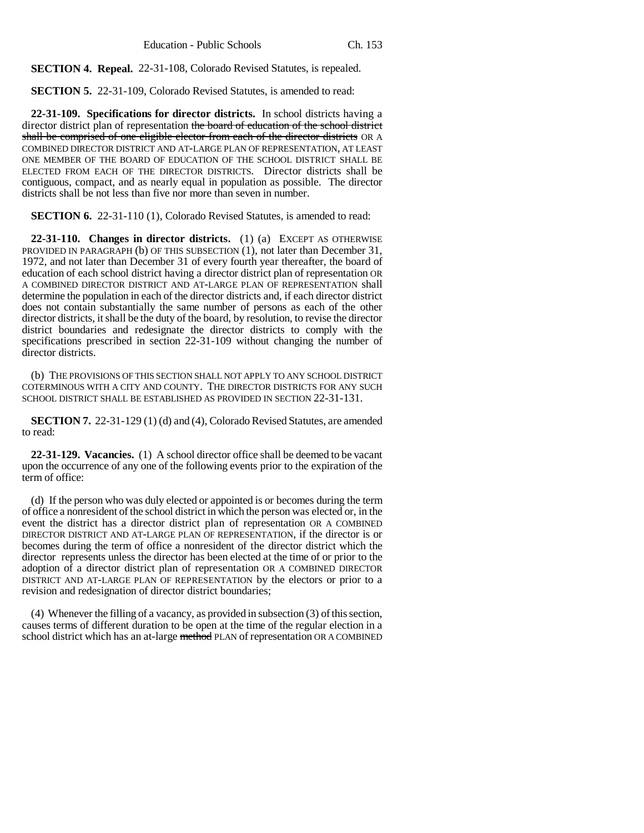**SECTION 4. Repeal.** 22-31-108, Colorado Revised Statutes, is repealed.

**SECTION 5.** 22-31-109, Colorado Revised Statutes, is amended to read:

**22-31-109. Specifications for director districts.** In school districts having a director district plan of representation the board of education of the school district shall be comprised of one eligible elector from each of the director districts OR A COMBINED DIRECTOR DISTRICT AND AT-LARGE PLAN OF REPRESENTATION, AT LEAST ONE MEMBER OF THE BOARD OF EDUCATION OF THE SCHOOL DISTRICT SHALL BE ELECTED FROM EACH OF THE DIRECTOR DISTRICTS. Director districts shall be contiguous, compact, and as nearly equal in population as possible. The director districts shall be not less than five nor more than seven in number.

**SECTION 6.** 22-31-110 (1), Colorado Revised Statutes, is amended to read:

**22-31-110. Changes in director districts.** (1) (a) EXCEPT AS OTHERWISE PROVIDED IN PARAGRAPH (b) OF THIS SUBSECTION (1), not later than December 31, 1972, and not later than December 31 of every fourth year thereafter, the board of education of each school district having a director district plan of representation OR A COMBINED DIRECTOR DISTRICT AND AT-LARGE PLAN OF REPRESENTATION shall determine the population in each of the director districts and, if each director district does not contain substantially the same number of persons as each of the other director districts, it shall be the duty of the board, by resolution, to revise the director district boundaries and redesignate the director districts to comply with the specifications prescribed in section 22-31-109 without changing the number of director districts.

(b) THE PROVISIONS OF THIS SECTION SHALL NOT APPLY TO ANY SCHOOL DISTRICT COTERMINOUS WITH A CITY AND COUNTY. THE DIRECTOR DISTRICTS FOR ANY SUCH SCHOOL DISTRICT SHALL BE ESTABLISHED AS PROVIDED IN SECTION 22-31-131.

**SECTION 7.** 22-31-129 (1) (d) and (4), Colorado Revised Statutes, are amended to read:

**22-31-129. Vacancies.** (1) A school director office shall be deemed to be vacant upon the occurrence of any one of the following events prior to the expiration of the term of office:

(d) If the person who was duly elected or appointed is or becomes during the term of office a nonresident of the school district in which the person was elected or, in the event the district has a director district plan of representation OR A COMBINED DIRECTOR DISTRICT AND AT-LARGE PLAN OF REPRESENTATION, if the director is or becomes during the term of office a nonresident of the director district which the director represents unless the director has been elected at the time of or prior to the adoption of a director district plan of representation OR A COMBINED DIRECTOR DISTRICT AND AT-LARGE PLAN OF REPRESENTATION by the electors or prior to a revision and redesignation of director district boundaries;

(4) Whenever the filling of a vacancy, as provided in subsection (3) of this section, causes terms of different duration to be open at the time of the regular election in a school district which has an at-large method PLAN of representation OR A COMBINED